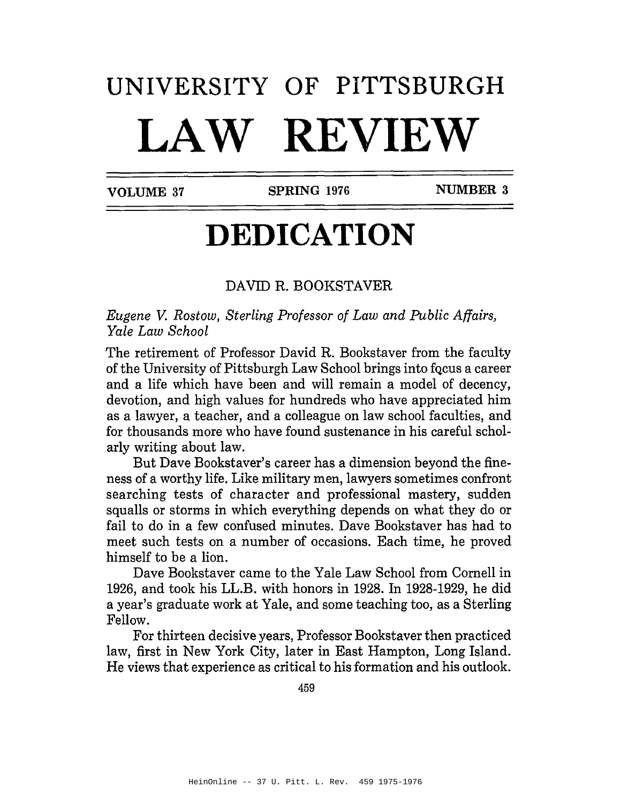## **UNIVERSITY OF PITTSBURGH LAW REVIEW**

VOLUME 37 SPRING 1976

NUMBER 3

## **DEDICATION**

## DAVID R. BOOKSTAVER

*Eugene* v: *Rostow, Sterling Professor of Law and Public Affairs, Yale Law School*

The retirement of Professor David R. Bookstaver from the faculty of the University of Pittsburgh Law School brings into fQcus a career and a life which have been and will remain a model of decency, devotion, and high values for hundreds who have appreciated him as a lawyer, a teacher, and a colleague on law school faculties, and for thousands more who have found sustenance in his careful scholarly writing about law.

But Dave Bookstaver's career has a dimension beyond the fineness of a worthy life. Like military men, lawyers sometimes confront searching tests of character and professional mastery, sudden squalls or storms in which everything depends on what they do or fail to do in a few confused minutes. Dave Bookstaver has had to meet such tests on a number of occasions. Each time, he proved himself to be a lion.

Dave Bookstaver came to the Yale Law School from Cornell in 1926, and took his LL.B. with honors in 1928. In 1928-1929, he did a year's graduate work at Yale, and some teaching too, as a Sterling Fellow.

For thirteen decisive years, Professor Bookstaver then practiced law, first in New York City, later in East Hampton, Long Island. He views that experience as critical to his formation and his outlook.

459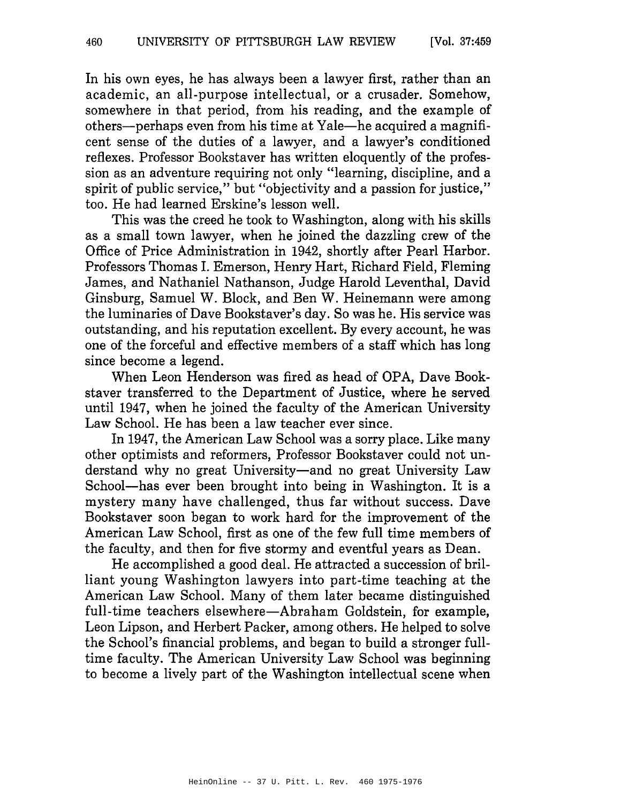In his own eyes, he has always been a lawyer first, rather than an academic, an all-purpose intellectual, or a crusader. Somehow, somewhere in that period, from his reading, and the example of others-perhaps even from his time at Yale-he acquired a magnificent sense of the duties of a lawyer, and a lawyer's conditioned reflexes. Professor Bookstaver has written eloquently of the profession as an adventure requiring not only "learning, discipline, and a spirit of public service," but "objectivity and a passion for justice," too. He had learned Erskine's lesson well.

This was the creed he took to Washington, along with his skills as a small town lawyer, when he joined the dazzling crew of the Office of Price Administration in 1942, shortly after Pearl Harbor. Professors Thomas I. Emerson, Henry Hart, Richard Field, Fleming James, and Nathaniel Nathanson, Judge Harold Leventhal, David Ginsburg, Samuel W. Block, and Ben W. Heinemann were among the luminaries of Dave Bookstaver's day. So was he. His service was outstanding, and his reputation excellent. By every account, he was one of the forceful and effective members of a staff which has long since become a legend.

When Leon Henderson was fired as head of OPA, Dave Bookstaver transferred to the Department of Justice, where he served until 1947, when he joined the faculty of the American University Law School. He has been a law teacher ever since.

In 1947, the American Law School was a sorry place. Like many other optimists and reformers, Professor Bookstaver could not understand why no great University-and no great University Law School—has ever been brought into being in Washington. It is a mystery many have challenged, thus far without success. Dave Bookstaver soon began to work hard for the improvement of the American Law School, first as one of the few full time members of the faculty, and then for five stormy and eventful years as Dean.

He accomplished a good deal. He attracted a succession of brilliant young Washington lawyers into part-time teaching at the American Law School. Many of them later became distinguished full-time teachers elsewhere—Abraham Goldstein, for example, Leon Lipson, and Herbert Packer, among others. He helped to solve the School's financial problems, and began to build a stronger fulltime faculty. The American University Law School was beginning to become a lively part of the Washington intellectual scene when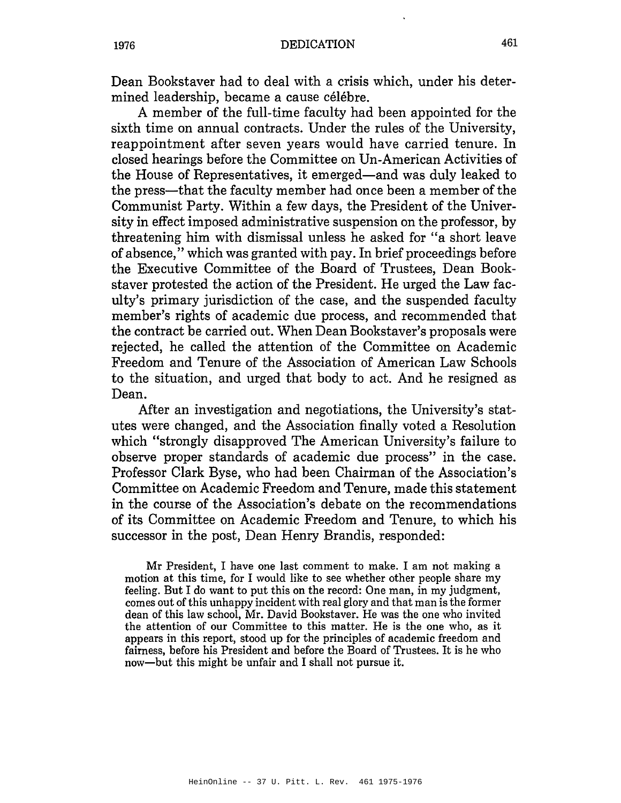Dean Bookstaver had to deal with a crisis which, under his determined leadership, became a cause célébre.

A member of the full-time faculty had been appointed for the sixth time on annual contracts. Under the rules of the University, reappointment after seven years would have carried tenure. In closed hearings before the Committee on Un-American Activities of the House of Representatives, it emerged—and was duly leaked to the press-that the faculty member had once been a member of the Communist Party. Within a few days, the President of the University in effect imposed administrative suspension on the professor, by threatening him with dismissal unless he asked for "a short leave of absence," which was granted with pay. In brief proceedings before the Executive Committee of the Board of Trustees, Dean Bookstaver protested the action of the President. He urged the Law faculty's primary jurisdiction of the case, and the suspended faculty member's rights of academic due process, and recommended that the contract be carried out. When Dean Bookstaver's proposals were rejected, he called the attention of the Committee on Academic Freedom and Tenure of the Association of American Law Schools to the situation, and urged that body to act. And he resigned as Dean.

After an investigation and negotiations, the University's statutes were changed, and the Association finally voted a Resolution which "strongly disapproved The American University's failure to observe proper standards of academic due process" in the case. Professor Clark Byse, who had been Chairman of the Association's Committee on Academic Freedom and Tenure, made this statement in the course of the Association's debate on the recommendations of its Committee on Academic Freedom and Tenure, to which his successor in the post, Dean Henry Brandis, responded:

Mr President, I have one last comment to make. I am not making a motion at this time, for I would like to see whether other people share my feeling. But I do want to put this on the record: One man, in my judgment, comes out of this unhappy incident with real glory and that man is the former dean of this law school, Mr. David Bookstaver. He was the one who invited the attention of our Committee to this matter. He is the one who, as it appears in this report, stood up for the principles of academic freedom and fairness, before his President and before the Board of Trustees. It is he who now-but this might be unfair and I shall not pursue it.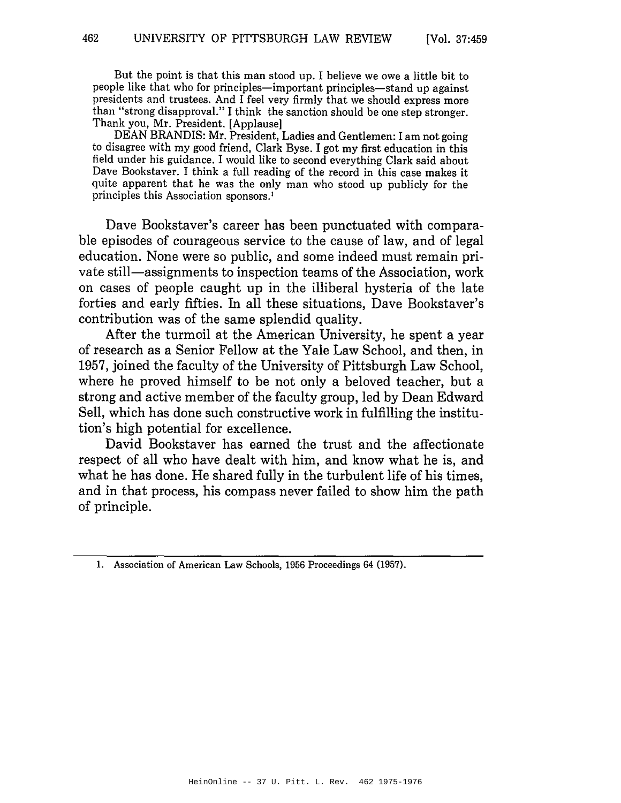But the point is that this man stood up. I believe we owe a little bit to people like that who for principles-important principles-stand up against presidents and trustees. And I feel very firmly that we should express more than "strong disapproval." I think the sanction should be one step stronger. Thank you, Mr. President. [Applause]

DEAN BRANDIS: Mr. President, Ladies and Gentlemen: I am not going to disagree with my good friend, Clark Byse. I got my first education in this field under his guidance. I would like to second everything Clark said about Dave Bookstaver. I think a full reading of the record in this case makes it quite apparent that he was the only man who stood up publicly for the principles this Association sponsors. <sup>I</sup>

Dave Bookstaver's career has been punctuated with comparable episodes of courageous service to the cause of law, and of legal education. None were so public, and some indeed must remain private still-assignments to inspection teams of the Association, work on cases of people caught up in the illiberal hysteria of the late forties and early fifties. In all these situations, Dave Bookstaver's contribution was of the same splendid quality.

After the turmoil at the American University, he spent a year of research as a Senior Fellow at the Yale Law School, and then, in 1957, joined the faculty of the University of Pittsburgh Law School, where he proved himself to be not only a beloved teacher, but a strong and active member of the faculty group, led by Dean Edward Sell, which has done such constructive work in fulfilling the institution's high potential for excellence.

David Bookstaver has earned the trust and the affectionate respect of all who have dealt with him, and know what he is, and what he has done. He shared fully in the turbulent life of his times, and in that process, his compass never failed to show him the path of principle.

<sup>1.</sup> Association of American Law Schools, 1956 Proceedings 64 (1957).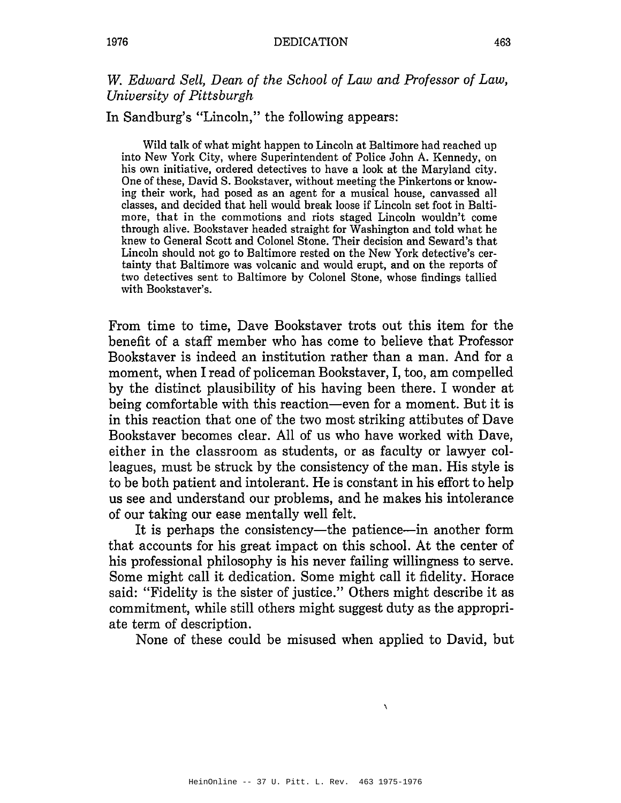## tv. *Edward Sell, Dean of the School of Law and Professor of Law, University of Pittsburgh*

In Sandburg's "Lincoln," the following appears:

Wild talk of what might happen to Lincoln at Baltimore had reached up into New York City, where Superintendent of Police John A. Kennedy, on his own initiative, ordered detectives to have a look at the Maryland city. One of these, David S. Bookstaver, without meeting the Pinkertons or knowing their work, had posed as an agent for a musical house, canvassed all classes, and decided that hell would break loose if Lincoln set foot in Baltimore, that in the commotions and riots staged Lincoln wouldn't come through alive. Bookstaver headed straight for Washington and told what he knew to General Scott and Colonel Stone. Their decision and Seward's that Lincoln should not go to Baltimore rested on the New York detective's certainty that Baltimore was volcanic and would erupt, and on the reports of two detectives sent to Baltimore by Colonel Stone, whose findings tallied with Bookstaver's.

From time to time, Dave Bookstaver trots out this item for the benefit of a staff member who has come to believe that Professor Bookstaver is indeed an institution rather than a man. And for a moment, when I read of policeman Bookstaver, I, too, am compelled by the distinct plausibility of his having been there. I wonder at being comfortable with this reaction-even for a moment. But it is in this reaction that one of the two most striking attibutes of Dave Bookstaver becomes clear. All of us who have worked with Dave, either in the classroom as students, or as faculty or lawyer colleagues, must be struck by the consistency of the man. His style is to be both patient and intolerant. He is constant in his effort to help us see and understand our problems, and he makes his intolerance of our taking our ease mentally well felt.

It is perhaps the consistency—the patience—in another form that accounts for his great impact on this school. At the center of his professional philosophy is his never failing willingness to serve. Some might call it dedication. Some might call it fidelity. Horace said: "Fidelity is the sister of justice." Others might describe it as commitment, while still others might suggest duty as the appropriate term of description.

None of these could be misused when applied to David, but

 $\lambda$